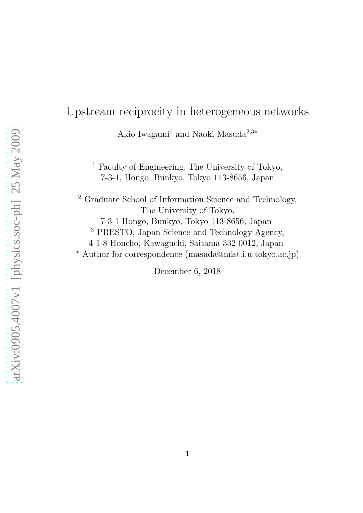# Upstream reciprocity in heterogeneous networks

Akio Iwagami<sup>1</sup> and Naoki Masuda<sup>2,3</sup><sup>\*</sup>

<sup>1</sup> Faculty of Engineering, The University of Tokyo, 7-3-1, Hongo, Bunkyo, Tokyo 113-8656, Japan

<sup>2</sup> Graduate School of Information Science and Technology, The University of Tokyo, 7-3-1 Hongo, Bunkyo, Tokyo 113-8656, Japan <sup>3</sup> PRESTO, Japan Science and Technology Agency, 4-1-8 Honcho, Kawaguchi, Saitama 332-0012, Japan <sup>∗</sup> Author for correspondence (masuda@mist.i.u-tokyo.ac.jp)

December 6, 2018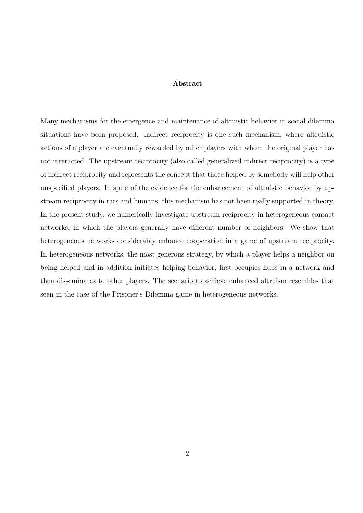#### Abstract

Many mechanisms for the emergence and maintenance of altruistic behavior in social dilemma situations have been proposed. Indirect reciprocity is one such mechanism, where altruistic actions of a player are eventually rewarded by other players with whom the original player has not interacted. The upstream reciprocity (also called generalized indirect reciprocity) is a type of indirect reciprocity and represents the concept that those helped by somebody will help other unspecified players. In spite of the evidence for the enhancement of altruistic behavior by upstream reciprocity in rats and humans, this mechanism has not been really supported in theory. In the present study, we numerically investigate upstream reciprocity in heterogeneous contact networks, in which the players generally have different number of neighbors. We show that heterogeneous networks considerably enhance cooperation in a game of upstream reciprocity. In heterogeneous networks, the most generous strategy, by which a player helps a neighbor on being helped and in addition initiates helping behavior, first occupies hubs in a network and then disseminates to other players. The scenario to achieve enhanced altruism resembles that seen in the case of the Prisoner's Dilemma game in heterogeneous networks.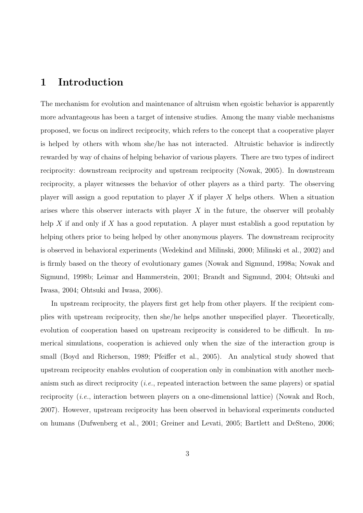## 1 Introduction

The mechanism for evolution and maintenance of altruism when egoistic behavior is apparently more advantageous has been a target of intensive studies. Among the many viable mechanisms proposed, we focus on indirect reciprocity, which refers to the concept that a cooperative player is helped by others with whom she/he has not interacted. Altruistic behavior is indirectly rewarded by way of chains of helping behavior of various players. There are two types of indirect reciprocity: downstream reciprocity and upstream reciprocity (Nowak, 2005). In downstream reciprocity, a player witnesses the behavior of other players as a third party. The observing player will assign a good reputation to player X if player X helps others. When a situation arises where this observer interacts with player  $X$  in the future, the observer will probably help X if and only if X has a good reputation. A player must establish a good reputation by helping others prior to being helped by other anonymous players. The downstream reciprocity is observed in behavioral experiments (Wedekind and Milinski, 2000; Milinski et al., 2002) and is firmly based on the theory of evolutionary games (Nowak and Sigmund, 1998a; Nowak and Sigmund, 1998b; Leimar and Hammerstein, 2001; Brandt and Sigmund, 2004; Ohtsuki and Iwasa, 2004; Ohtsuki and Iwasa, 2006).

In upstream reciprocity, the players first get help from other players. If the recipient complies with upstream reciprocity, then she/he helps another unspecified player. Theoretically, evolution of cooperation based on upstream reciprocity is considered to be difficult. In numerical simulations, cooperation is achieved only when the size of the interaction group is small (Boyd and Richerson, 1989; Pfeiffer et al., 2005). An analytical study showed that upstream reciprocity enables evolution of cooperation only in combination with another mechanism such as direct reciprocity (i.e., repeated interaction between the same players) or spatial reciprocity *(i.e.,* interaction between players on a one-dimensional lattice) (Nowak and Roch, 2007). However, upstream reciprocity has been observed in behavioral experiments conducted on humans (Dufwenberg et al., 2001; Greiner and Levati, 2005; Bartlett and DeSteno, 2006;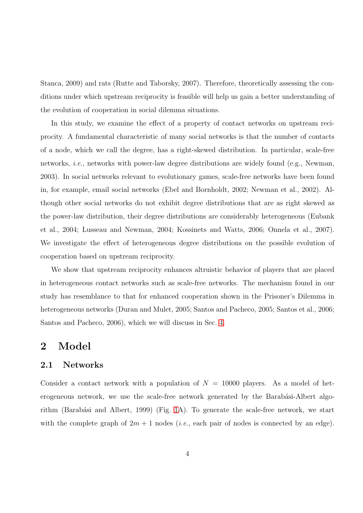Stanca, 2009) and rats (Rutte and Taborsky, 2007). Therefore, theoretically assessing the conditions under which upstream reciprocity is feasible will help us gain a better understanding of the evolution of cooperation in social dilemma situations.

In this study, we examine the effect of a property of contact networks on upstream reciprocity. A fundamental characteristic of many social networks is that the number of contacts of a node, which we call the degree, has a right-skewed distribution. In particular, scale-free networks, i.e., networks with power-law degree distributions are widely found (e.g., Newman, 2003). In social networks relevant to evolutionary games, scale-free networks have been found in, for example, email social networks (Ebel and Bornholdt, 2002; Newman et al., 2002). Although other social networks do not exhibit degree distributions that are as right skewed as the power-law distribution, their degree distributions are considerably heterogeneous (Eubank et al., 2004; Lusseau and Newman, 2004; Kossinets and Watts, 2006; Onnela et al., 2007). We investigate the effect of heterogeneous degree distributions on the possible evolution of cooperation based on upstream reciprocity.

We show that upstream reciprocity enhances altruistic behavior of players that are placed in heterogeneous contact networks such as scale-free networks. The mechanism found in our study has resemblance to that for enhanced cooperation shown in the Prisoner's Dilemma in heterogeneous networks (Duran and Mulet, 2005; Santos and Pacheco, 2005; Santos et al., 2006; Santos and Pacheco, 2006), which we will discuss in Sec. [4.](#page-12-0)

### 2 Model

### 2.1 Networks

Consider a contact network with a population of  $N = 10000$  players. As a model of heterogeneous network, we use the scale-free network generated by the Barabási-Albert algo-rithm (Barabási and Albert, 1999) (Fig. [1A](#page-25-0)). To generate the scale-free network, we start with the complete graph of  $2m + 1$  nodes (*i.e.*, each pair of nodes is connected by an edge).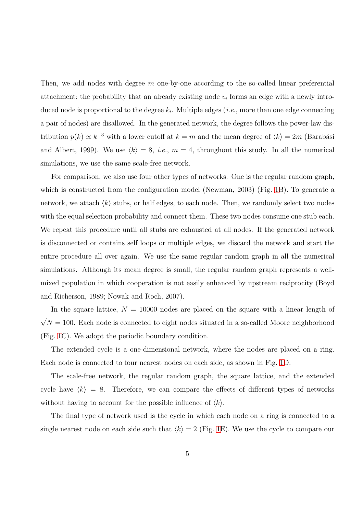Then, we add nodes with degree  $m$  one-by-one according to the so-called linear preferential attachment; the probability that an already existing node  $v_i$  forms an edge with a newly introduced node is proportional to the degree  $k_i$ . Multiple edges (*i.e.*, more than one edge connecting a pair of nodes) are disallowed. In the generated network, the degree follows the power-law distribution  $p(k) \propto k^{-3}$  with a lower cutoff at  $k = m$  and the mean degree of  $\langle k \rangle = 2m$  (Barabási and Albert, 1999). We use  $\langle k \rangle = 8$ , *i.e.*,  $m = 4$ , throughout this study. In all the numerical simulations, we use the same scale-free network.

For comparison, we also use four other types of networks. One is the regular random graph, which is constructed from the configuration model (Newman, 2003) (Fig. [1B](#page-25-0)). To generate a network, we attach  $\langle k \rangle$  stubs, or half edges, to each node. Then, we randomly select two nodes with the equal selection probability and connect them. These two nodes consume one stub each. We repeat this procedure until all stubs are exhausted at all nodes. If the generated network is disconnected or contains self loops or multiple edges, we discard the network and start the entire procedure all over again. We use the same regular random graph in all the numerical simulations. Although its mean degree is small, the regular random graph represents a wellmixed population in which cooperation is not easily enhanced by upstream reciprocity (Boyd and Richerson, 1989; Nowak and Roch, 2007).

In the square lattice,  $N = 10000$  nodes are placed on the square with a linear length of  $\sqrt{N} = 100$ . Each node is connected to eight nodes situated in a so-called Moore neighborhood (Fig. [1C](#page-25-0)). We adopt the periodic boundary condition.

The extended cycle is a one-dimensional network, where the nodes are placed on a ring. Each node is connected to four nearest nodes on each side, as shown in Fig. [1D](#page-25-0).

The scale-free network, the regular random graph, the square lattice, and the extended cycle have  $\langle k \rangle = 8$ . Therefore, we can compare the effects of different types of networks without having to account for the possible influence of  $\langle k \rangle$ .

The final type of network used is the cycle in which each node on a ring is connected to a single nearest node on each side such that  $\langle k \rangle = 2$  (Fig. [1E](#page-25-0)). We use the cycle to compare our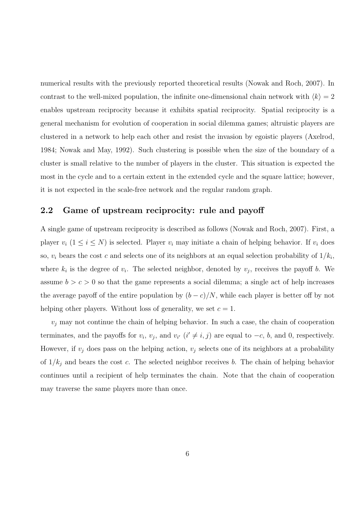numerical results with the previously reported theoretical results (Nowak and Roch, 2007). In contrast to the well-mixed population, the infinite one-dimensional chain network with  $\langle k \rangle = 2$ enables upstream reciprocity because it exhibits spatial reciprocity. Spatial reciprocity is a general mechanism for evolution of cooperation in social dilemma games; altruistic players are clustered in a network to help each other and resist the invasion by egoistic players (Axelrod, 1984; Nowak and May, 1992). Such clustering is possible when the size of the boundary of a cluster is small relative to the number of players in the cluster. This situation is expected the most in the cycle and to a certain extent in the extended cycle and the square lattice; however, it is not expected in the scale-free network and the regular random graph.

#### 2.2 Game of upstream reciprocity: rule and payoff

A single game of upstream reciprocity is described as follows (Nowak and Roch, 2007). First, a player  $v_i$  ( $1 \le i \le N$ ) is selected. Player  $v_i$  may initiate a chain of helping behavior. If  $v_i$  does so,  $v_i$  bears the cost c and selects one of its neighbors at an equal selection probability of  $1/k_i$ , where  $k_i$  is the degree of  $v_i$ . The selected neighbor, denoted by  $v_j$ , receives the payoff b. We assume  $b > c > 0$  so that the game represents a social dilemma; a single act of help increases the average payoff of the entire population by  $(b - c)/N$ , while each player is better off by not helping other players. Without loss of generality, we set  $c = 1$ .

 $v_i$  may not continue the chain of helping behavior. In such a case, the chain of cooperation terminates, and the payoffs for  $v_i$ ,  $v_j$ , and  $v_{i'}$  ( $i' \neq i, j$ ) are equal to  $-c$ ,  $b$ , and 0, respectively. However, if  $v_j$  does pass on the helping action,  $v_j$  selects one of its neighbors at a probability of  $1/k_i$  and bears the cost c. The selected neighbor receives b. The chain of helping behavior continues until a recipient of help terminates the chain. Note that the chain of cooperation may traverse the same players more than once.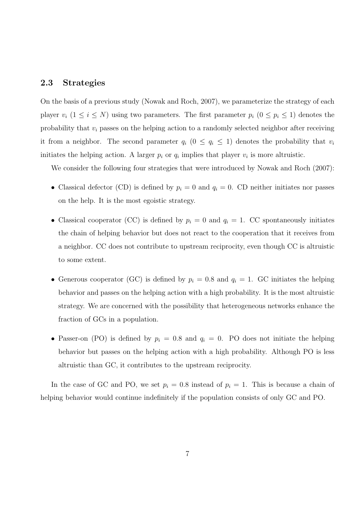#### 2.3 Strategies

On the basis of a previous study (Nowak and Roch, 2007), we parameterize the strategy of each player  $v_i$   $(1 \le i \le N)$  using two parameters. The first parameter  $p_i$   $(0 \le p_i \le 1)$  denotes the probability that  $v_i$  passes on the helping action to a randomly selected neighbor after receiving it from a neighbor. The second parameter  $q_i$  ( $0 \le q_i \le 1$ ) denotes the probability that  $v_i$ initiates the helping action. A larger  $p_i$  or  $q_i$  implies that player  $v_i$  is more altruistic.

We consider the following four strategies that were introduced by Nowak and Roch  $(2007)$ :

- Classical defector (CD) is defined by  $p_i = 0$  and  $q_i = 0$ . CD neither initiates nor passes on the help. It is the most egoistic strategy.
- Classical cooperator (CC) is defined by  $p_i = 0$  and  $q_i = 1$ . CC spontaneously initiates the chain of helping behavior but does not react to the cooperation that it receives from a neighbor. CC does not contribute to upstream reciprocity, even though CC is altruistic to some extent.
- Generous cooperator (GC) is defined by  $p_i = 0.8$  and  $q_i = 1$ . GC initiates the helping behavior and passes on the helping action with a high probability. It is the most altruistic strategy. We are concerned with the possibility that heterogeneous networks enhance the fraction of GCs in a population.
- Passer-on (PO) is defined by  $p_i = 0.8$  and  $q_i = 0$ . PO does not initiate the helping behavior but passes on the helping action with a high probability. Although PO is less altruistic than GC, it contributes to the upstream reciprocity.

In the case of GC and PO, we set  $p_i = 0.8$  instead of  $p_i = 1$ . This is because a chain of helping behavior would continue indefinitely if the population consists of only GC and PO.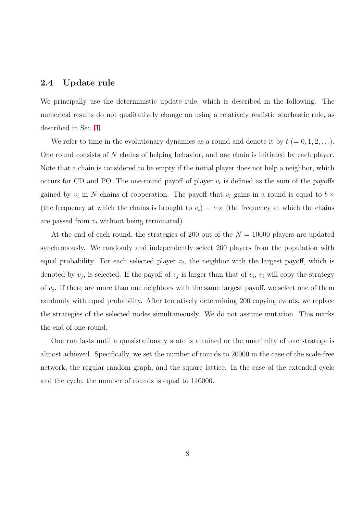#### 2.4 Update rule

We principally use the deterministic update rule, which is described in the following. The numerical results do not qualitatively change on using a relatively realistic stochastic rule, as described in Sec. [4.](#page-15-0)

We refer to time in the evolutionary dynamics as a round and denote it by  $t (= 0, 1, 2, \ldots)$ . One round consists of N chains of helping behavior, and one chain is initiated by each player. Note that a chain is considered to be empty if the initial player does not help a neighbor, which occurs for CD and PO. The one-round payoff of player  $v_i$  is defined as the sum of the payoffs gained by  $v_i$  in N chains of cooperation. The payoff that  $v_i$  gains in a round is equal to  $b \times$ (the frequency at which the chains is brought to  $v_i$ ) –  $c \times$  (the frequency at which the chains are passed from  $v_i$  without being terminated).

At the end of each round, the strategies of 200 out of the  $N = 10000$  players are updated synchronously. We randomly and independently select 200 players from the population with equal probability. For each selected player  $v_i$ , the neighbor with the largest payoff, which is denoted by  $v_j$ , is selected. If the payoff of  $v_j$  is larger than that of  $v_i$ ,  $v_i$  will copy the strategy of  $v_j$ . If there are more than one neighbors with the same largest payoff, we select one of them randomly with equal probability. After tentatively determining 200 copying events, we replace the strategies of the selected nodes simultaneously. We do not assume mutation. This marks the end of one round.

One run lasts until a quasistationary state is attained or the unanimity of one strategy is almost achieved. Specifically, we set the number of rounds to 20000 in the case of the scale-free network, the regular random graph, and the square lattice. In the case of the extended cycle and the cycle, the number of rounds is equal to 140000.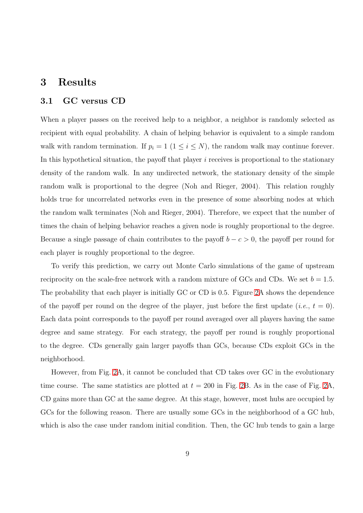### <span id="page-8-0"></span>3 Results

#### 3.1 GC versus CD

When a player passes on the received help to a neighbor, a neighbor is randomly selected as recipient with equal probability. A chain of helping behavior is equivalent to a simple random walk with random termination. If  $p_i = 1$   $(1 \le i \le N)$ , the random walk may continue forever. In this hypothetical situation, the payoff that player  $i$  receives is proportional to the stationary density of the random walk. In any undirected network, the stationary density of the simple random walk is proportional to the degree (Noh and Rieger, 2004). This relation roughly holds true for uncorrelated networks even in the presence of some absorbing nodes at which the random walk terminates (Noh and Rieger, 2004). Therefore, we expect that the number of times the chain of helping behavior reaches a given node is roughly proportional to the degree. Because a single passage of chain contributes to the payoff  $b - c > 0$ , the payoff per round for each player is roughly proportional to the degree.

To verify this prediction, we carry out Monte Carlo simulations of the game of upstream reciprocity on the scale-free network with a random mixture of GCs and CDs. We set  $b = 1.5$ . The probability that each player is initially GC or CD is 0.5. Figure [2A](#page-20-0) shows the dependence of the payoff per round on the degree of the player, just before the first update (*i.e.*,  $t = 0$ ). Each data point corresponds to the payoff per round averaged over all players having the same degree and same strategy. For each strategy, the payoff per round is roughly proportional to the degree. CDs generally gain larger payoffs than GCs, because CDs exploit GCs in the neighborhood.

However, from Fig. [2A](#page-20-0), it cannot be concluded that CD takes over GC in the evolutionary time course. The same statistics are plotted at  $t = 200$  in Fig. [2B](#page-20-0). As in the case of Fig. [2A](#page-20-0), CD gains more than GC at the same degree. At this stage, however, most hubs are occupied by GCs for the following reason. There are usually some GCs in the neighborhood of a GC hub, which is also the case under random initial condition. Then, the GC hub tends to gain a large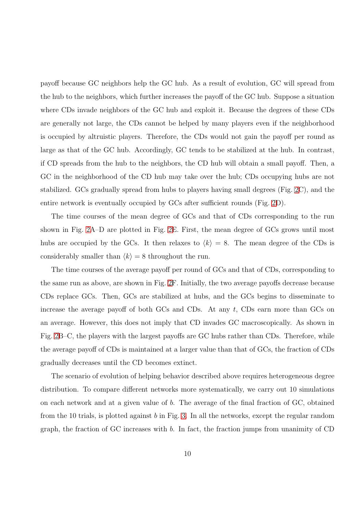payoff because GC neighbors help the GC hub. As a result of evolution, GC will spread from the hub to the neighbors, which further increases the payoff of the GC hub. Suppose a situation where CDs invade neighbors of the GC hub and exploit it. Because the degrees of these CDs are generally not large, the CDs cannot be helped by many players even if the neighborhood is occupied by altruistic players. Therefore, the CDs would not gain the payoff per round as large as that of the GC hub. Accordingly, GC tends to be stabilized at the hub. In contrast, if CD spreads from the hub to the neighbors, the CD hub will obtain a small payoff. Then, a GC in the neighborhood of the CD hub may take over the hub; CDs occupying hubs are not stabilized. GCs gradually spread from hubs to players having small degrees (Fig. [2C](#page-20-0)), and the entire network is eventually occupied by GCs after sufficient rounds (Fig. [2D](#page-20-0)).

The time courses of the mean degree of GCs and that of CDs corresponding to the run shown in Fig. [2A](#page-20-0)–D are plotted in Fig. [2E](#page-20-0). First, the mean degree of GCs grows until most hubs are occupied by the GCs. It then relaxes to  $\langle k \rangle = 8$ . The mean degree of the CDs is considerably smaller than  $\langle k \rangle = 8$  throughout the run.

The time courses of the average payoff per round of GCs and that of CDs, corresponding to the same run as above, are shown in Fig. [2F](#page-20-0). Initially, the two average payoffs decrease because CDs replace GCs. Then, GCs are stabilized at hubs, and the GCs begins to disseminate to increase the average payoff of both GCs and CDs. At any  $t$ , CDs earn more than GCs on an average. However, this does not imply that CD invades GC macroscopically. As shown in Fig. [2B](#page-20-0)–C, the players with the largest payoffs are GC hubs rather than CDs. Therefore, while the average payoff of CDs is maintained at a larger value than that of GCs, the fraction of CDs gradually decreases until the CD becomes extinct.

The scenario of evolution of helping behavior described above requires heterogeneous degree distribution. To compare different networks more systematically, we carry out 10 simulations on each network and at a given value of b. The average of the final fraction of GC, obtained from the 10 trials, is plotted against  $b$  in Fig. [3.](#page-21-0) In all the networks, except the regular random graph, the fraction of GC increases with b. In fact, the fraction jumps from unanimity of CD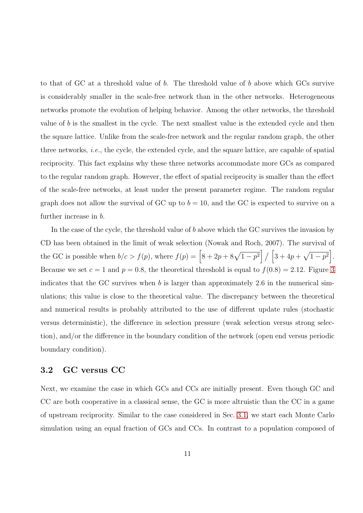to that of GC at a threshold value of b. The threshold value of b above which GCs survive is considerably smaller in the scale-free network than in the other networks. Heterogeneous networks promote the evolution of helping behavior. Among the other networks, the threshold value of b is the smallest in the cycle. The next smallest value is the extended cycle and then the square lattice. Unlike from the scale-free network and the regular random graph, the other three networks, i.e., the cycle, the extended cycle, and the square lattice, are capable of spatial reciprocity. This fact explains why these three networks accommodate more GCs as compared to the regular random graph. However, the effect of spatial reciprocity is smaller than the effect of the scale-free networks, at least under the present parameter regime. The random regular graph does not allow the survival of GC up to  $b = 10$ , and the GC is expected to survive on a further increase in b.

In the case of the cycle, the threshold value of b above which the GC survives the invasion by CD has been obtained in the limit of weak selection (Nowak and Roch, 2007). The survival of the GC is possible when  $b/c > f(p)$ , where  $f(p) = \left[8 + 2p + 8\sqrt{1-p^2}\right] / \left[3 + 4p + \sqrt{1-p^2}\right]$ . Because we set  $c = 1$  and  $p = 0.8$ , the theoretical threshold is equal to  $f(0.8) = 2.12$ . Figure [3](#page-21-0) indicates that the GC survives when  $b$  is larger than approximately 2.6 in the numerical simulations; this value is close to the theoretical value. The discrepancy between the theoretical and numerical results is probably attributed to the use of different update rules (stochastic versus deterministic), the difference in selection pressure (weak selection versus strong selection), and/or the difference in the boundary condition of the network (open end versus periodic boundary condition).

#### <span id="page-10-0"></span>3.2 GC versus CC

Next, we examine the case in which GCs and CCs are initially present. Even though GC and CC are both cooperative in a classical sense, the GC is more altruistic than the CC in a game of upstream reciprocity. Similar to the case considered in Sec. [3.1,](#page-8-0) we start each Monte Carlo simulation using an equal fraction of GCs and CCs. In contrast to a population composed of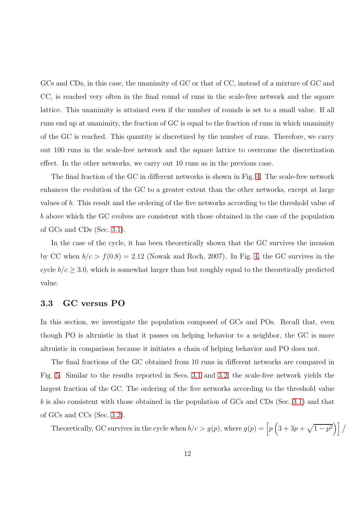GCs and CDs, in this case, the unanimity of GC or that of CC, instead of a mixture of GC and CC, is reached very often in the final round of runs in the scale-free network and the square lattice. This unanimity is attained even if the number of rounds is set to a small value. If all runs end up at unanimity, the fraction of GC is equal to the fraction of runs in which unanimity of the GC is reached. This quantity is discretized by the number of runs. Therefore, we carry out 100 runs in the scale-free network and the square lattice to overcome the discretization effect. In the other networks, we carry out 10 runs as in the previous case.

The final fraction of the GC in different networks is shown in Fig. [4.](#page-22-0) The scale-free network enhances the evolution of the GC to a greater extent than the other networks, except at large values of b. This result and the ordering of the five networks according to the threshold value of b above which the GC evolves are consistent with those obtained in the case of the population of GCs and CDs (Sec. [3.1\)](#page-8-0).

In the case of the cycle, it has been theoretically shown that the GC survives the invasion by CC when  $b/c > f(0.8) = 2.12$  (Nowak and Roch, 2007). In Fig. [4,](#page-22-0) the GC survives in the cycle  $b/c \geq 3.0$ , which is somewhat larger than but roughly equal to the theoretically predicted value.

### <span id="page-11-0"></span>3.3 GC versus PO

In this section, we investigate the population composed of GCs and POs. Recall that, even though PO is altruistic in that it passes on helping behavior to a neighbor, the GC is more altruistic in comparison because it initiates a chain of helping behavior and PO does not.

The final fractions of the GC obtained from 10 runs in different networks are compared in Fig. [5.](#page-23-0) Similar to the results reported in Secs. [3.1](#page-8-0) and [3.2,](#page-10-0) the scale-free network yields the largest fraction of the GC. The ordering of the five networks according to the threshold value b is also consistent with those obtained in the population of GCs and CDs (Sec. [3.1\)](#page-8-0) and that of GCs and CCs (Sec. [3.2\)](#page-10-0).

Theoretically, GC survives in the cycle when  $b/c > g(p)$ , where  $g(p) = \left[ p\left(3 + 3p + \sqrt{1-p^2}\right) \right] /$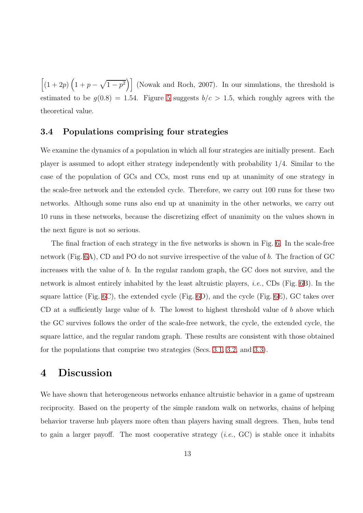$\left[\left(1+2p\right)\left(1+p-\sqrt{1-p^2}\right)\right]$  (Nowak and Roch, 2007). In our simulations, the threshold is estimated to be  $g(0.8) = 1.54$ . Figure [5](#page-23-0) suggests  $b/c > 1.5$ , which roughly agrees with the theoretical value.

#### 3.4 Populations comprising four strategies

We examine the dynamics of a population in which all four strategies are initially present. Each player is assumed to adopt either strategy independently with probability 1/4. Similar to the case of the population of GCs and CCs, most runs end up at unanimity of one strategy in the scale-free network and the extended cycle. Therefore, we carry out 100 runs for these two networks. Although some runs also end up at unanimity in the other networks, we carry out 10 runs in these networks, because the discretizing effect of unanimity on the values shown in the next figure is not so serious.

The final fraction of each strategy in the five networks is shown in Fig. [6.](#page-24-0) In the scale-free network (Fig. [6A](#page-24-0)), CD and PO do not survive irrespective of the value of b. The fraction of GC increases with the value of b. In the regular random graph, the GC does not survive, and the network is almost entirely inhabited by the least altruistic players, *i.e.*, CDs (Fig.  $6B$ ). In the square lattice (Fig.  $6C$ ), the extended cycle (Fig.  $6D$ ), and the cycle (Fig.  $6E$ ), GC takes over CD at a sufficiently large value of  $b$ . The lowest to highest threshold value of  $b$  above which the GC survives follows the order of the scale-free network, the cycle, the extended cycle, the square lattice, and the regular random graph. These results are consistent with those obtained for the populations that comprise two strategies (Secs. [3.1,](#page-8-0) [3.2,](#page-10-0) and [3.3\)](#page-11-0).

### <span id="page-12-0"></span>4 Discussion

We have shown that heterogeneous networks enhance altruistic behavior in a game of upstream reciprocity. Based on the property of the simple random walk on networks, chains of helping behavior traverse hub players more often than players having small degrees. Then, hubs tend to gain a larger payoff. The most cooperative strategy  $(i.e., GC)$  is stable once it inhabits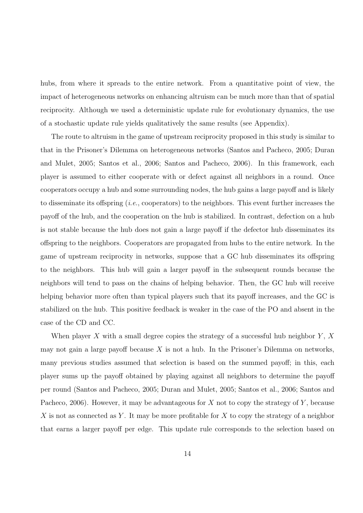hubs, from where it spreads to the entire network. From a quantitative point of view, the impact of heterogeneous networks on enhancing altruism can be much more than that of spatial reciprocity. Although we used a deterministic update rule for evolutionary dynamics, the use of a stochastic update rule yields qualitatively the same results (see Appendix).

The route to altruism in the game of upstream reciprocity proposed in this study is similar to that in the Prisoner's Dilemma on heterogeneous networks (Santos and Pacheco, 2005; Duran and Mulet, 2005; Santos et al., 2006; Santos and Pacheco, 2006). In this framework, each player is assumed to either cooperate with or defect against all neighbors in a round. Once cooperators occupy a hub and some surrounding nodes, the hub gains a large payoff and is likely to disseminate its offspring  $(i.e.,$  cooperators) to the neighbors. This event further increases the payoff of the hub, and the cooperation on the hub is stabilized. In contrast, defection on a hub is not stable because the hub does not gain a large payoff if the defector hub disseminates its offspring to the neighbors. Cooperators are propagated from hubs to the entire network. In the game of upstream reciprocity in networks, suppose that a GC hub disseminates its offspring to the neighbors. This hub will gain a larger payoff in the subsequent rounds because the neighbors will tend to pass on the chains of helping behavior. Then, the GC hub will receive helping behavior more often than typical players such that its payoff increases, and the GC is stabilized on the hub. This positive feedback is weaker in the case of the PO and absent in the case of the CD and CC.

When player X with a small degree copies the strategy of a successful hub neighbor  $Y$ , X may not gain a large payoff because  $X$  is not a hub. In the Prisoner's Dilemma on networks, many previous studies assumed that selection is based on the summed payoff; in this, each player sums up the payoff obtained by playing against all neighbors to determine the payoff per round (Santos and Pacheco, 2005; Duran and Mulet, 2005; Santos et al., 2006; Santos and Pacheco, 2006). However, it may be advantageous for  $X$  not to copy the strategy of  $Y$ , because X is not as connected as Y. It may be more profitable for X to copy the strategy of a neighbor that earns a larger payoff per edge. This update rule corresponds to the selection based on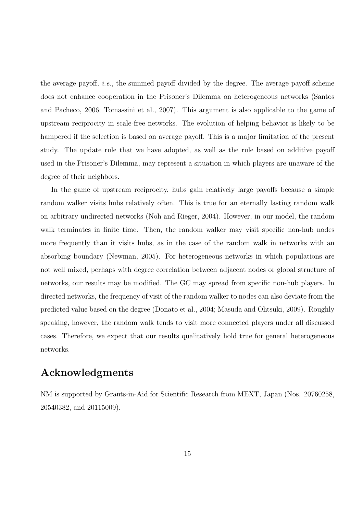the average payoff, *i.e.*, the summed payoff divided by the degree. The average payoff scheme does not enhance cooperation in the Prisoner's Dilemma on heterogeneous networks (Santos and Pacheco, 2006; Tomassini et al., 2007). This argument is also applicable to the game of upstream reciprocity in scale-free networks. The evolution of helping behavior is likely to be hampered if the selection is based on average payoff. This is a major limitation of the present study. The update rule that we have adopted, as well as the rule based on additive payoff used in the Prisoner's Dilemma, may represent a situation in which players are unaware of the degree of their neighbors.

In the game of upstream reciprocity, hubs gain relatively large payoffs because a simple random walker visits hubs relatively often. This is true for an eternally lasting random walk on arbitrary undirected networks (Noh and Rieger, 2004). However, in our model, the random walk terminates in finite time. Then, the random walker may visit specific non-hub nodes more frequently than it visits hubs, as in the case of the random walk in networks with an absorbing boundary (Newman, 2005). For heterogeneous networks in which populations are not well mixed, perhaps with degree correlation between adjacent nodes or global structure of networks, our results may be modified. The GC may spread from specific non-hub players. In directed networks, the frequency of visit of the random walker to nodes can also deviate from the predicted value based on the degree (Donato et al., 2004; Masuda and Ohtsuki, 2009). Roughly speaking, however, the random walk tends to visit more connected players under all discussed cases. Therefore, we expect that our results qualitatively hold true for general heterogeneous networks.

### Acknowledgments

NM is supported by Grants-in-Aid for Scientific Research from MEXT, Japan (Nos. 20760258, 20540382, and 20115009).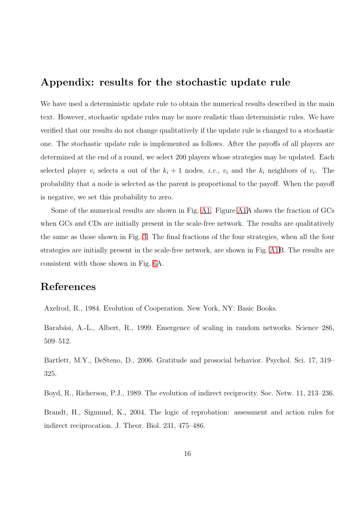### <span id="page-15-0"></span>Appendix: results for the stochastic update rule

We have used a deterministic update rule to obtain the numerical results described in the main text. However, stochastic update rules may be more realistic than deterministic rules. We have verified that our results do not change qualitatively if the update rule is changed to a stochastic one. The stochastic update rule is implemented as follows. After the payoffs of all players are determined at the end of a round, we select 200 players whose strategies may be updated. Each selected player  $v_i$  selects a out of the  $k_i + 1$  nodes, *i.e.*,  $v_i$  and the  $k_i$  neighbors of  $v_i$ . The probability that a node is selected as the parent is proportional to the payoff. When the payoff is negative, we set this probability to zero.

Some of the numerical results are shown in Fig. [A1.](#page-25-0) Figure [A1A](#page-25-0) shows the fraction of GCs when GCs and CDs are initially present in the scale-free network. The results are qualitatively the same as those shown in Fig. [3.](#page-21-0) The final fractions of the four strategies, when all the four strategies are initially present in the scale-free network, are shown in Fig. [A1B](#page-25-0). The results are consistent with those shown in Fig. [6A](#page-24-0).

### References

Axelrod, R., 1984. Evolution of Cooperation. New York, NY: Basic Books.

Barabási, A.-L., Albert, R., 1999. Emergence of scaling in random networks. Science 286, 509–512.

Bartlett, M.Y., DeSteno, D., 2006. Gratitude and prosocial behavior. Psychol. Sci. 17, 319– 325.

Boyd, R., Richerson, P.J., 1989. The evolution of indirect reciprocity. Soc. Netw. 11, 213–236.

Brandt, H., Sigmund, K., 2004. The logic of reprobation: assessment and action rules for indirect reciprocation. J. Theor. Biol. 231, 475–486.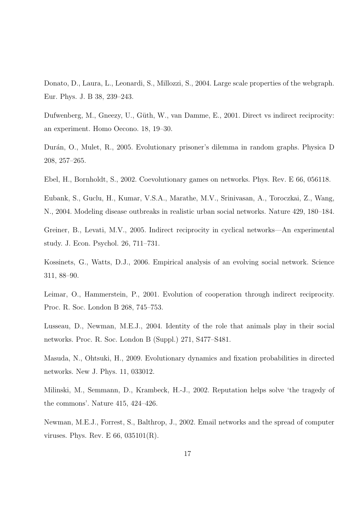Donato, D., Laura, L., Leonardi, S., Millozzi, S., 2004. Large scale properties of the webgraph. Eur. Phys. J. B 38, 239–243.

Dufwenberg, M., Gneezy, U., Güth, W., van Damme, E., 2001. Direct vs indirect reciprocity: an experiment. Homo Oecono. 18, 19–30.

Dur´an, O., Mulet, R., 2005. Evolutionary prisoner's dilemma in random graphs. Physica D 208, 257–265.

Ebel, H., Bornholdt, S., 2002. Coevolutionary games on networks. Phys. Rev. E 66, 056118.

Eubank, S., Guclu, H., Kumar, V.S.A., Marathe, M.V., Srinivasan, A., Toroczkai, Z., Wang, N., 2004. Modeling disease outbreaks in realistic urban social networks. Nature 429, 180–184.

Greiner, B., Levati, M.V., 2005. Indirect reciprocity in cyclical networks—An experimental study. J. Econ. Psychol. 26, 711–731.

Kossinets, G., Watts, D.J., 2006. Empirical analysis of an evolving social network. Science 311, 88–90.

Leimar, O., Hammerstein, P., 2001. Evolution of cooperation through indirect reciprocity. Proc. R. Soc. London B 268, 745–753.

Lusseau, D., Newman, M.E.J., 2004. Identity of the role that animals play in their social networks. Proc. R. Soc. London B (Suppl.) 271, S477–S481.

Masuda, N., Ohtsuki, H., 2009. Evolutionary dynamics and fixation probabilities in directed networks. New J. Phys. 11, 033012.

Milinski, M., Semmann, D., Krambeck, H.-J., 2002. Reputation helps solve 'the tragedy of the commons'. Nature 415, 424–426.

Newman, M.E.J., Forrest, S., Balthrop, J., 2002. Email networks and the spread of computer viruses. Phys. Rev. E 66, 035101(R).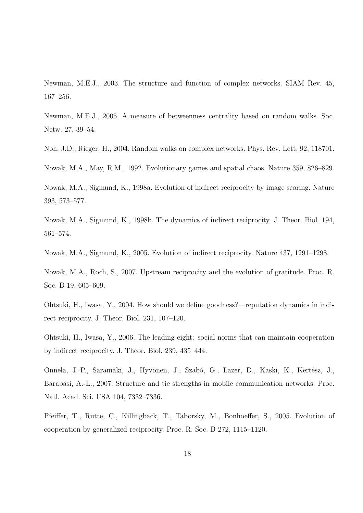Newman, M.E.J., 2003. The structure and function of complex networks. SIAM Rev. 45, 167–256.

Newman, M.E.J., 2005. A measure of betweenness centrality based on random walks. Soc. Netw. 27, 39–54.

Noh, J.D., Rieger, H., 2004. Random walks on complex networks. Phys. Rev. Lett. 92, 118701.

Nowak, M.A., May, R.M., 1992. Evolutionary games and spatial chaos. Nature 359, 826–829.

Nowak, M.A., Sigmund, K., 1998a. Evolution of indirect reciprocity by image scoring. Nature 393, 573–577.

Nowak, M.A., Sigmund, K., 1998b. The dynamics of indirect reciprocity. J. Theor. Biol. 194, 561–574.

Nowak, M.A., Sigmund, K., 2005. Evolution of indirect reciprocity. Nature 437, 1291–1298.

Nowak, M.A., Roch, S., 2007. Upstream reciprocity and the evolution of gratitude. Proc. R. Soc. B 19, 605–609.

Ohtsuki, H., Iwasa, Y., 2004. How should we define goodness?—reputation dynamics in indirect reciprocity. J. Theor. Biol. 231, 107–120.

Ohtsuki, H., Iwasa, Y., 2006. The leading eight: social norms that can maintain cooperation by indirect reciprocity. J. Theor. Biol. 239, 435–444.

Onnela, J.-P., Saramäki, J., Hyvönen, J., Szabó, G., Lazer, D., Kaski, K., Kertész, J., Barabási, A.-L., 2007. Structure and tie strengths in mobile communication networks. Proc. Natl. Acad. Sci. USA 104, 7332–7336.

Pfeiffer, T., Rutte, C., Killingback, T., Taborsky, M., Bonhoeffer, S., 2005. Evolution of cooperation by generalized reciprocity. Proc. R. Soc. B 272, 1115–1120.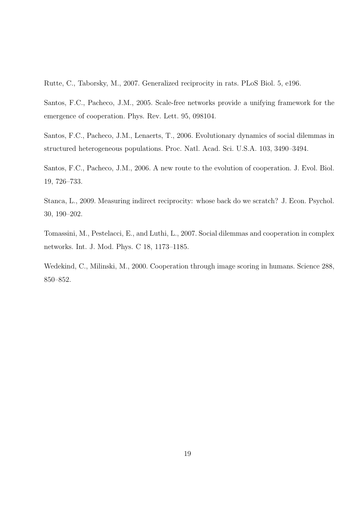Rutte, C., Taborsky, M., 2007. Generalized reciprocity in rats. PLoS Biol. 5, e196.

Santos, F.C., Pacheco, J.M., 2005. Scale-free networks provide a unifying framework for the emergence of cooperation. Phys. Rev. Lett. 95, 098104.

Santos, F.C., Pacheco, J.M., Lenaerts, T., 2006. Evolutionary dynamics of social dilemmas in structured heterogeneous populations. Proc. Natl. Acad. Sci. U.S.A. 103, 3490–3494.

Santos, F.C., Pacheco, J.M., 2006. A new route to the evolution of cooperation. J. Evol. Biol. 19, 726–733.

Stanca, L., 2009. Measuring indirect reciprocity: whose back do we scratch? J. Econ. Psychol. 30, 190–202.

Tomassini, M., Pestelacci, E., and Luthi, L., 2007. Social dilemmas and cooperation in complex networks. Int. J. Mod. Phys. C 18, 1173–1185.

Wedekind, C., Milinski, M., 2000. Cooperation through image scoring in humans. Science 288, 850–852.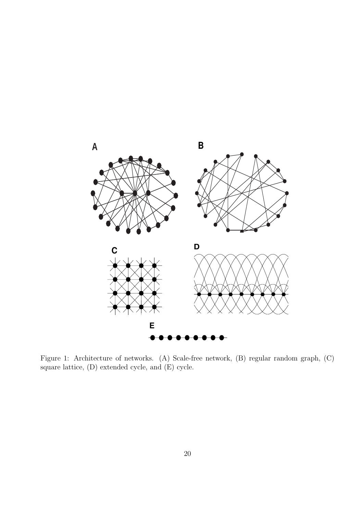

Figure 1: Architecture of networks. (A) Scale-free network, (B) regular random graph, (C) square lattice, (D) extended cycle, and (E) cycle.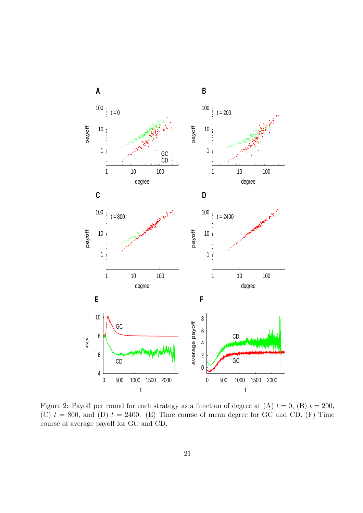

<span id="page-20-0"></span>Figure 2: Payoff per round for each strategy as a function of degree at (A)  $t = 0$ , (B)  $t = 200$ , (C)  $t = 800$ , and (D)  $t = 2400$ . (E) Time course of mean degree for GC and CD. (F) Time course of average payoff for GC and CD.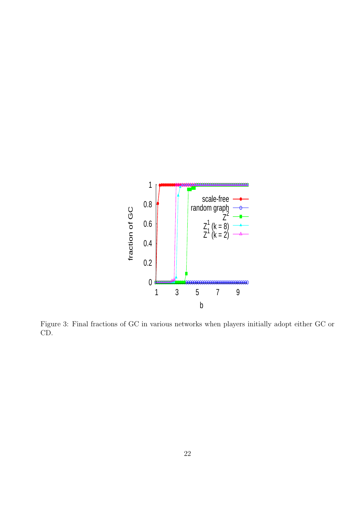

<span id="page-21-0"></span>Figure 3: Final fractions of GC in various networks when players initially adopt either GC or CD.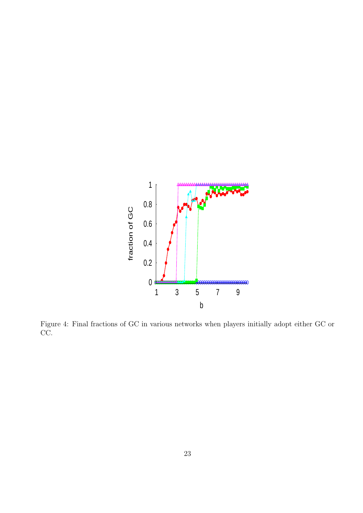

<span id="page-22-0"></span>Figure 4: Final fractions of GC in various networks when players initially adopt either GC or CC.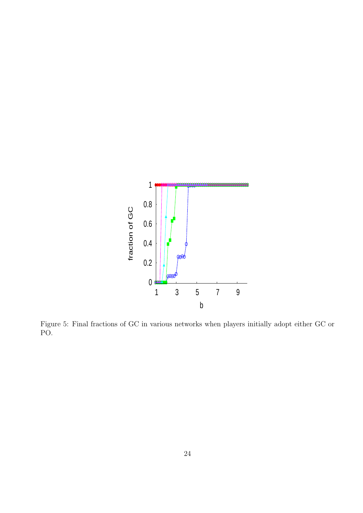

<span id="page-23-0"></span>Figure 5: Final fractions of GC in various networks when players initially adopt either GC or PO.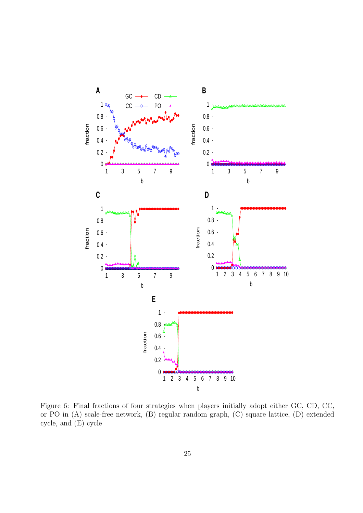

<span id="page-24-0"></span>Figure 6: Final fractions of four strategies when players initially adopt either GC, CD, CC, or PO in (A) scale-free network, (B) regular random graph, (C) square lattice, (D) extended cycle, and (E) cycle